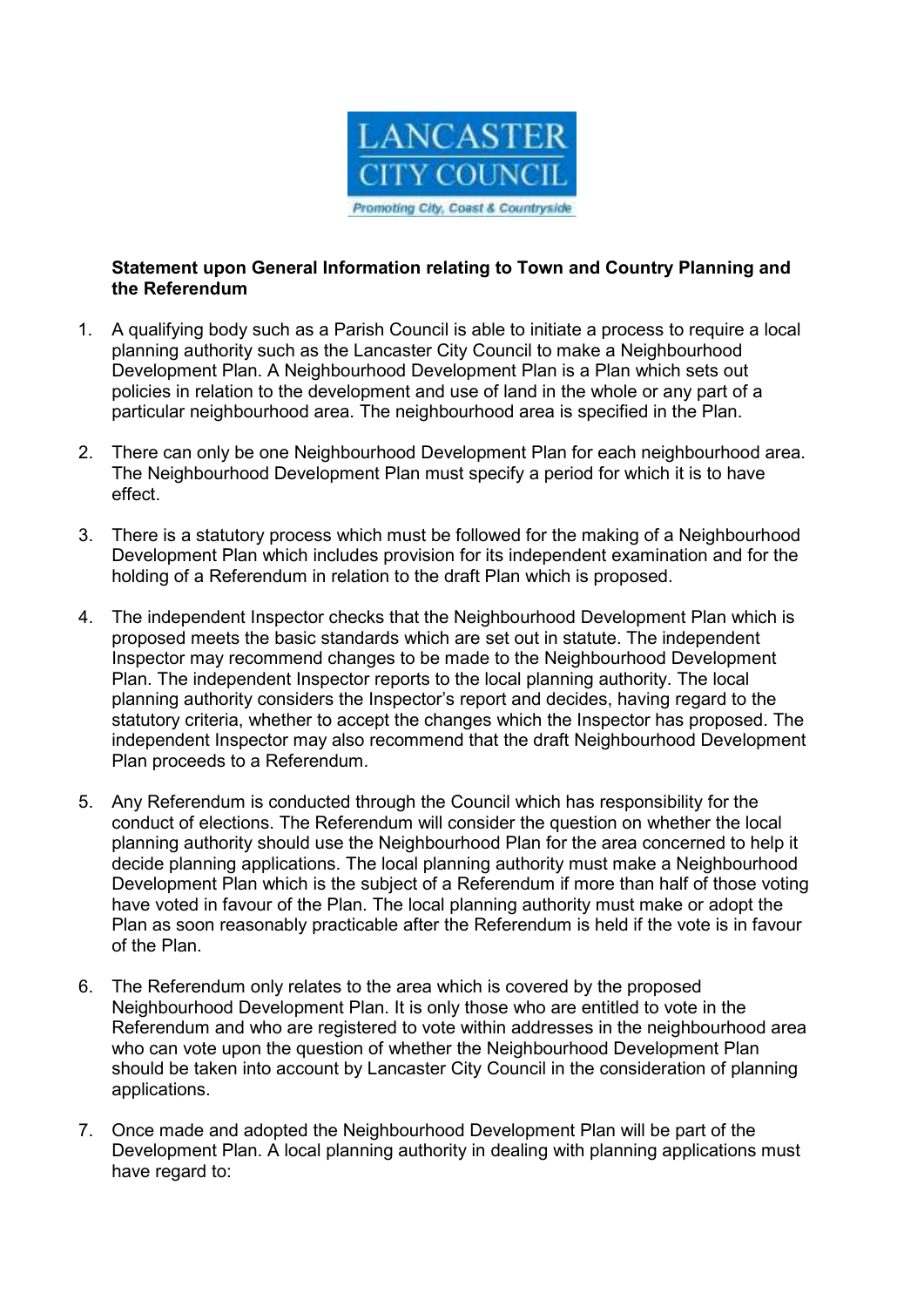

## **Statement upon General Information relating to Town and Country Planning and the Referendum**

- 1. A qualifying body such as a Parish Council is able to initiate a process to require a local planning authority such as the Lancaster City Council to make a Neighbourhood Development Plan. A Neighbourhood Development Plan is a Plan which sets out policies in relation to the development and use of land in the whole or any part of a particular neighbourhood area. The neighbourhood area is specified in the Plan.
- 2. There can only be one Neighbourhood Development Plan for each neighbourhood area. The Neighbourhood Development Plan must specify a period for which it is to have effect.
- 3. There is a statutory process which must be followed for the making of a Neighbourhood Development Plan which includes provision for its independent examination and for the holding of a Referendum in relation to the draft Plan which is proposed.
- 4. The independent Inspector checks that the Neighbourhood Development Plan which is proposed meets the basic standards which are set out in statute. The independent Inspector may recommend changes to be made to the Neighbourhood Development Plan. The independent Inspector reports to the local planning authority. The local planning authority considers the Inspector's report and decides, having regard to the statutory criteria, whether to accept the changes which the Inspector has proposed. The independent Inspector may also recommend that the draft Neighbourhood Development Plan proceeds to a Referendum.
- 5. Any Referendum is conducted through the Council which has responsibility for the conduct of elections. The Referendum will consider the question on whether the local planning authority should use the Neighbourhood Plan for the area concerned to help it decide planning applications. The local planning authority must make a Neighbourhood Development Plan which is the subject of a Referendum if more than half of those voting have voted in favour of the Plan. The local planning authority must make or adopt the Plan as soon reasonably practicable after the Referendum is held if the vote is in favour of the Plan.
- 6. The Referendum only relates to the area which is covered by the proposed Neighbourhood Development Plan. It is only those who are entitled to vote in the Referendum and who are registered to vote within addresses in the neighbourhood area who can vote upon the question of whether the Neighbourhood Development Plan should be taken into account by Lancaster City Council in the consideration of planning applications.
- 7. Once made and adopted the Neighbourhood Development Plan will be part of the Development Plan. A local planning authority in dealing with planning applications must have regard to: